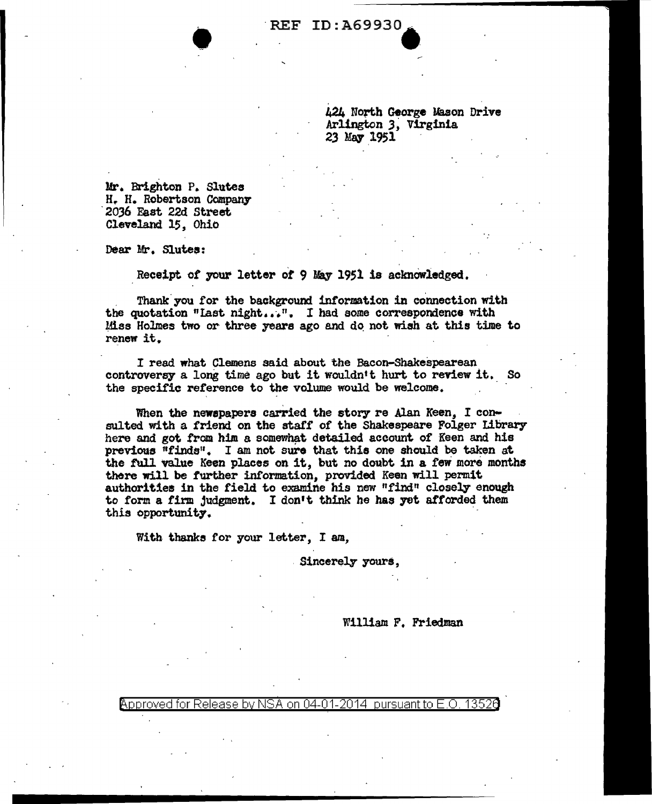# REF ID: A69930

424 North George Mason Drive Arlington 3) Virginia 23 May 1951

Mr. Brighton P. Slutes H. H. Robertson Company<br>2036 East 22d Street Cleveland 15, Ohio

Dear Mr. Slutes:

Receipt of your letter of 9 May 1951 is acknowledged.

Thank you for the background information in connection with the quotation "last night...". I had some correspondence with Miss Holmes two or three years ago and do not wish at this time to renew it.

I read what Clemens said about the Bacon-Shakespearean controversy a long time ago but it wouldn't hurt to review it. So the specific reference to the volume would be welcome.

When the newspapers carried the story re Alan Keen, I consulted with a friend on the staff of the Shakespeare Folger Library here and got from him a somewhat detailed account of Keen and his previous "finds". I am not sure that this one should be taken at the full value Keen places on it, but no doubt in a few more months there will be further information, provided Keen will permit authorities in the field to examine his new "find" closely enough to form a firm judgment. I don't think he has yet afforded them this opportunity.

With thanks for your letter, I am,

. Sincerely yours,

### William F. Friedman

<code>Approved</code> for Release by NSA on 04-01-2014 pursuant to E.O. 1352 $\rm{d}$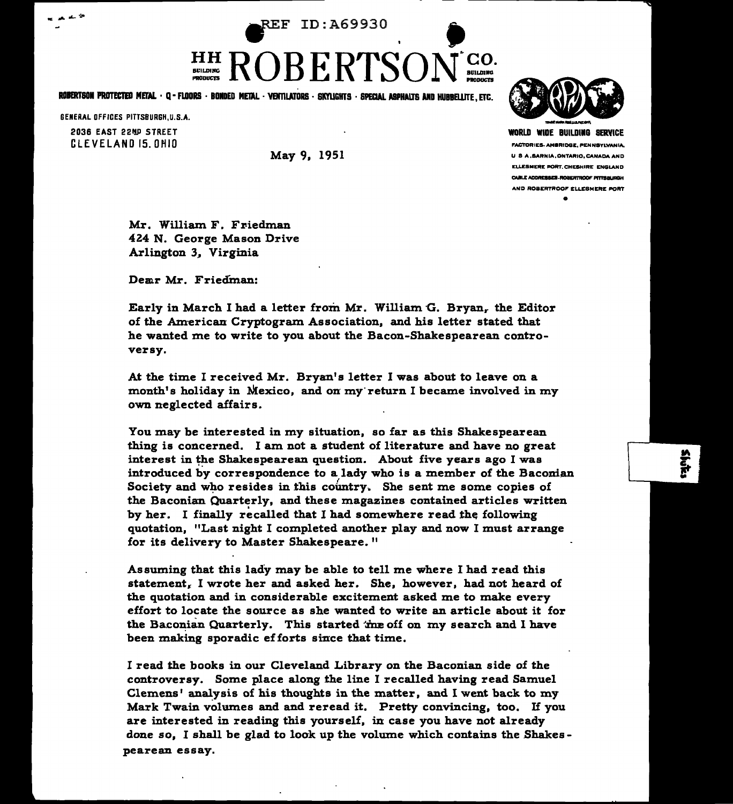~F ID:A69930 ' •

## HH BCILDlllG PRODUCTS  $KUBERIDUN$

ROBERTSON PROTECTED METAL • Q • FLOORS • BONDED METAL • VENTILATORS • SKYLIGHTS • SPECIAL ASPHALTS AND HUBBELLITE, ETC.

GENERAL OFFICES PITTSBURGH,U.S.A. 2036 EAST 22ND STREET CLEVELAND 15. OMIO

 $\mathbf{r}_0$ 

May 9, 1951



WORLD WIDE BUILDllG SERVICE FACTORIES. AMBRIDGE, PENNSYLVANIA, U S A, SARNIA, ONTARIO, CANADA AND ELLESMERE PORT.CHESHIRE ENGLAND CABLE ADDRESSES ROBERTROOF PITTSBURGH AND ROBERTROOF ELLESMERE PORT •

Mr. William F. Friedman 424 N. George Mason Drive Arlington 3, Virginia

Demr Mr. Friedinan:

Early in March I had a letter from Mr. William G. Bryan, the Editor of the American Cryptogram Association, and his letter stated that he wanted me to write to you about the Bacon-Shakespearean controversy.

At the time I received Mr. Bryan's letter I was about to leave on a month's holiday in Mexico, and on my·return I became involved in my own neglected affairs.

You may be interested in my situation, so far as this Shakespearean thing is concerned. I am not a student of literature and have no great interest in the Shakespearean question. About five years ago I was introduced by correspondence to a lady who is a member of the Baconian introduced by correspondence to a lady who is a member of the Baconian Society and who resides in this country. She sent me some copies of the Baconian Quarterly, and these magazines contained articles written by her. I finally recalled that I had somewhere read the following quotation, "Last night I completed another play and now I must arrange for its delivery to Master Shakespeare. "

Assuming that this lady may be able to tell me where I had read this statement. I wrote her and asked her. She, however, had not heard of the quotation and in considerable excitement asked me to make every effort to locate the source as she wanted to write an article about it for the Baconian Quarterly. This started the off on my search and I have been making sporadic efforts since that time.

I read the books in our Cleveland Library on the Baconian side of the controversy. Some place along the line I recalled having read Samuel Clemens' analysis of his thoughts in the matter, and I went back to my Mark Twain volumes and and reread it. Pretty convincing, too. If you are interested in reading this yourself, in case you have not already done so, I shall be glad to look up the volume which contains the Shakes pearean essay.